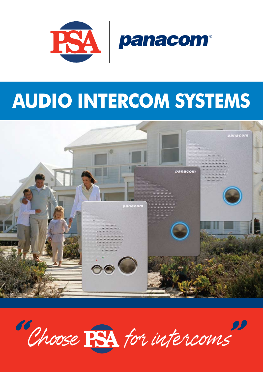

## **AUDIO INTERCOM SYSTEMS**